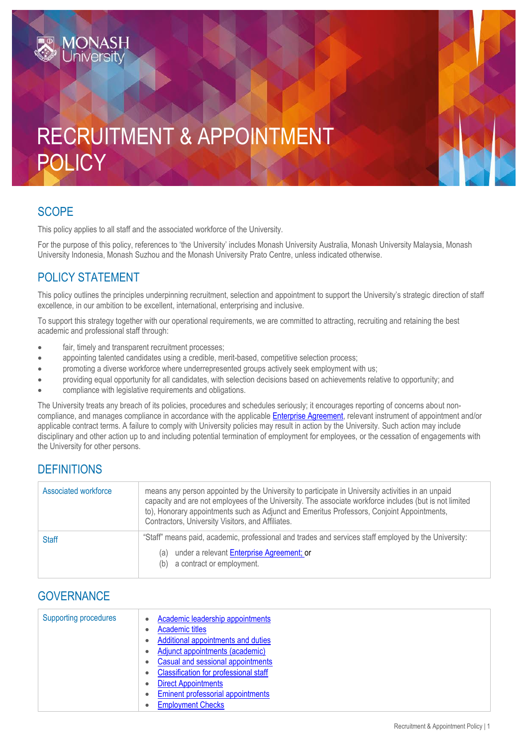# RECRUITMENT & APPOINTMENT POLICY

### **SCOPE**

This policy applies to all staff and the associated workforce of the University.

For the purpose of this policy, references to 'the University' includes Monash University Australia, Monash University Malaysia, Monash University Indonesia, Monash Suzhou and the Monash University Prato Centre, unless indicated otherwise.

## POLICY STATEMENT

This policy outlines the principles underpinning recruitment, selection and appointment to support the University's strategic direction of staff excellence, in our ambition to be excellent, international, enterprising and inclusive.

To support this strategy together with our operational requirements, we are committed to attracting, recruiting and retaining the best academic and professional staff through:

- fair, timely and transparent recruitment processes;
- appointing talented candidates using a credible, merit-based, competitive selection process;
- promoting a diverse workforce where underrepresented groups actively seek employment with us;
- providing equal opportunity for all candidates, with selection decisions based on achievements relative to opportunity; and
- compliance with legislative requirements and obligations.

The University treats any breach of its policies, procedures and schedules seriously; it encourages reporting of concerns about noncompliance, and manages compliance in accordance with the applicabl[e Enterprise Agreement,](https://www.monash.edu/current-enterprise-agreements) relevant instrument of appointment and/or applicable contract terms. A failure to comply with University policies may result in action by the University. Such action may include disciplinary and other action up to and including potential termination of employment for employees, or the cessation of engagements with the University for other persons.

## **DEFINITIONS**

| Associated workforce | means any person appointed by the University to participate in University activities in an unpaid<br>capacity and are not employees of the University. The associate workforce includes (but is not limited<br>to), Honorary appointments such as Adjunct and Emeritus Professors, Conjoint Appointments,<br>Contractors, University Visitors, and Affiliates. |
|----------------------|----------------------------------------------------------------------------------------------------------------------------------------------------------------------------------------------------------------------------------------------------------------------------------------------------------------------------------------------------------------|
| <b>Staff</b>         | "Staff" means paid, academic, professional and trades and services staff employed by the University:<br>under a relevant <b>Enterprise Agreement</b> ; or<br>(a)<br>a contract or employment.<br>(b)                                                                                                                                                           |

#### **GOVERNANCE**

| <b>Supporting procedures</b> | Academic leadership appointments<br><b>Academic titles</b><br>Additional appointments and duties<br>Adjunct appointments (academic)<br>Casual and sessional appointments |
|------------------------------|--------------------------------------------------------------------------------------------------------------------------------------------------------------------------|
|                              | <b>Classification for professional staff</b>                                                                                                                             |
|                              | <b>Direct Appointments</b>                                                                                                                                               |
|                              | Eminent professorial appointments                                                                                                                                        |
|                              | <b>Employment Checks</b>                                                                                                                                                 |